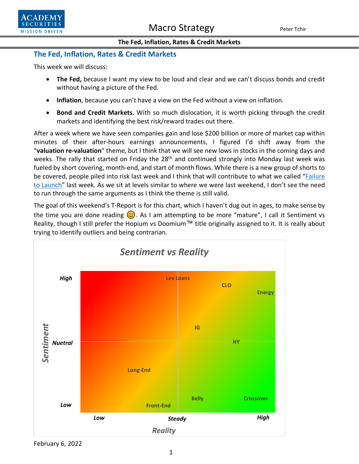

## **The Fed, Inflation, Rates & Credit Markets**

This week we will discuss:

- **The Fed,** because I want my view to be loud and clear and we can't discuss bonds and credit without having a picture of the Fed.
- **Inflation**, because you can't have a view on the Fed without a view on inflation.
- **Bond and Credit Markets.** With so much dislocation, it is worth picking through the credit markets and identifying the best risk/reward trades out there.

After a week where we have seen companies gain and lose \$200 billion or more of market cap within minutes of their after-hours earnings announcements, I figured I'd shift away from the "**valuation re-valuation**" theme, but I think that we will see new lows in stocks in the coming days and weeks. The rally that started on Friday the 28<sup>th</sup> and continued strongly into Monday last week was fueled by short covering, month-end, and start of month flows. While there is a new group of shorts to be covered, people piled into risk last week and I think that will contribute to what we called ["Failure](https://www.academysecurities.com/wordpress/wp-content/uploads/2022/01/Failure-to-Launch.pdf)  [to Launch"](https://www.academysecurities.com/wordpress/wp-content/uploads/2022/01/Failure-to-Launch.pdf) last week. As we sit at levels similar to where we were last weekend, I don't see the need to run through the same arguments as I think the theme is still valid.

The goal of this weekend's T-Report is for this chart, which I haven't dug out in ages, to make sense by the time you are done reading  $\bigcirc$ . As I am attempting to be more "mature", I call it Sentiment vs Reality, though I still prefer the Hopium vs Doomium™ title originally assigned to it. It is really about trying to identify outliers and being contrarian.



February 6, 2022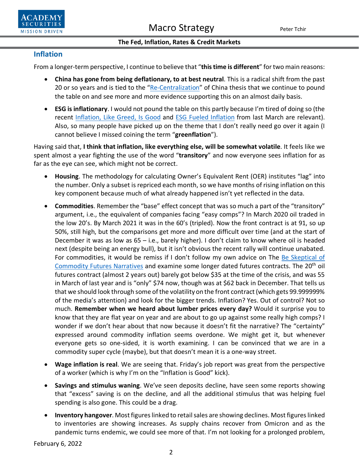

## **Inflation**

From a longer-term perspective, I continue to believe that "**this time is different**" for two main reasons:

- **China has gone from being deflationary, to at best neutral**. This is a radical shift from the past 20 or so years and is tied to the ["Re-Centralization"](https://www.academysecurities.com/wordpress/wp-content/uploads/2021/08/The-Recentralization-of-China.pdf) of China thesis that we continue to pound the table on and see more and more evidence supporting this on an almost daily basis.
- **ESG is inflationary**. I would not pound the table on this partly because I'm tired of doing so (the recent [Inflation, Like Greed, Is Good](https://www.academysecurities.com/wordpress/wp-content/uploads/2021/12/Inflation-Like-Greed-Is-Good.pdf) and [ESG Fueled Inflation](https://www.academysecurities.com/wordpress/wp-content/uploads/2021/03/Inflation-Rates-and-Everything-Else.pdf) from last March are relevant). Also, so many people have picked up on the theme that I don't really need go over it again (I cannot believe I missed coining the term "**greenflation**").

Having said that, **I think that inflation, like everything else, will be somewhat volatile**. It feels like we spent almost a year fighting the use of the word "**transitory**" and now everyone sees inflation for as far as the eye can see, which might not be correct.

- **Housing**. The methodology for calculating Owner's Equivalent Rent (OER) institutes "lag" into the number. Only a subset is repriced each month, so we have months of rising inflation on this key component because much of what already happened isn't yet reflected in the data.
- **Commodities**. Remember the "base" effect concept that was so much a part of the "transitory" argument, i.e., the equivalent of companies facing "easy comps"? In March 2020 oil traded in the low 20's. By March 2021 it was in the 60's (tripled). Now the front contract is at 91, so up 50%, still high, but the comparisons get more and more difficult over time (and at the start of December it was as low as 65 – i.e., barely higher). I don't claim to know where oil is headed next (despite being an energy bull), but it isn't obvious the recent rally will continue unabated. For commodities, it would be remiss if I don't follow my own advice on The Be Skeptical of [Commodity Futures Narratives](https://www.academysecurities.com/wordpress/wp-content/uploads/2021/05/A-Short-Long-Weekend-Note.pdf) and examine some longer dated futures contracts. The 20<sup>th</sup> oil futures contract (almost 2 years out) barely got below \$35 at the time of the crisis, and was 55 in March of last year and is "only" \$74 now, though was at \$62 back in December. That tells us that we should look through some of the volatility on the front contract (which gets 99.999999% of the media's attention) and look for the bigger trends. Inflation? Yes. Out of control? Not so much. **Remember when we heard about lumber prices every day?** Would it surprise you to know that they are flat year on year and are about to go up against some really high comps? I wonder if we don't hear about that now because it doesn't fit the narrative? The "certainty" expressed around commodity inflation seems overdone. We might get it, but whenever everyone gets so one-sided, it is worth examining. I can be convinced that we are in a commodity super cycle (maybe), but that doesn't mean it is a one-way street.
- **Wage inflation is real**. We are seeing that. Friday's job report was great from the perspective of a worker (which is why I'm on the "Inflation is Good" kick).
- **Savings and stimulus waning**. We've seen deposits decline, have seen some reports showing that "excess" saving is on the decline, and all the additional stimulus that was helping fuel spending is also gone. This could be a drag.
- **Inventory hangover**. Most figures linked to retail sales are showing declines. Most figures linked to inventories are showing increases. As supply chains recover from Omicron and as the pandemic turns endemic, we could see more of that. I'm not looking for a prolonged problem,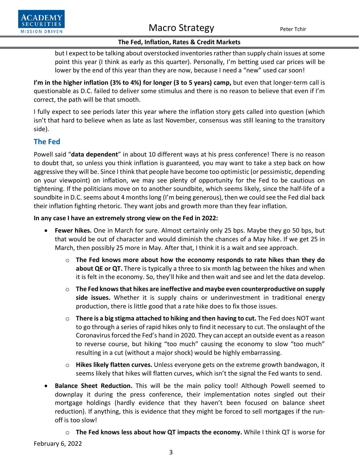

#### **The Fed, Inflation, Rates & Credit Markets**

but I expect to be talking about overstocked inventories rather than supply chain issues at some point this year (I think as early as this quarter). Personally, I'm betting used car prices will be lower by the end of this year than they are now, because I need a "new" used car soon!

**I'm in the higher inflation (3% to 4%) for longer (3 to 5 years) camp,** but even that longer-term call is questionable as D.C. failed to deliver some stimulus and there is no reason to believe that even if I'm correct, the path will be that smooth.

I fully expect to see periods later this year where the inflation story gets called into question (which isn't that hard to believe when as late as last November, consensus was still leaning to the transitory side).

## **The Fed**

Powell said "**data dependent**" in about 10 different ways at his press conference! There is no reason to doubt that, so unless you think inflation is guaranteed, you may want to take a step back on how aggressive they will be. Since I think that people have become too optimistic (or pessimistic, depending on your viewpoint) on inflation, we may see plenty of opportunity for the Fed to be cautious on tightening. If the politicians move on to another soundbite, which seems likely, since the half-life of a soundbite in D.C. seems about 4 monthslong (I'm being generous), then we could see the Fed dial back their inflation fighting rhetoric. They want jobs and growth more than they fear inflation.

## **In any case I have an extremely strong view on the Fed in 2022:**

- **Fewer hikes.** One in March for sure. Almost certainly only 25 bps. Maybe they go 50 bps, but that would be out of character and would diminish the chances of a May hike. If we get 25 in March, then possibly 25 more in May. After that, I think it is a wait and see approach.
	- o **The Fed knows more about how the economy responds to rate hikes than they do about QE or QT.** There is typically a three to six month lag between the hikes and when it is felt in the economy. So, they'll hike and then wait and see and let the data develop.
	- o **The Fed knows that hikes are ineffective and maybe even counterproductive on supply side issues.** Whether it is supply chains or underinvestment in traditional energy production, there is little good that a rate hike does to fix those issues.
	- o **There is a big stigma attached to hiking and then having to cut.** The Fed does NOT want to go through a series of rapid hikes only to find it necessary to cut. The onslaught of the Coronavirus forced the Fed's hand in 2020. They can accept an outside event as a reason to reverse course, but hiking "too much" causing the economy to slow "too much" resulting in a cut (without a major shock) would be highly embarrassing.
	- o **Hikes likely flatten curves.** Unless everyone gets on the extreme growth bandwagon, it seems likely that hikes will flatten curves, which isn't the signal the Fed wants to send.
- **Balance Sheet Reduction.** This will be the main policy tool! Although Powell seemed to downplay it during the press conference, their implementation notes singled out their mortgage holdings (hardly evidence that they haven't been focused on balance sheet reduction). If anything, this is evidence that they might be forced to sell mortgages if the runoff is too slow!
	- o **The Fed knows less about how QT impacts the economy.** While I think QT is worse for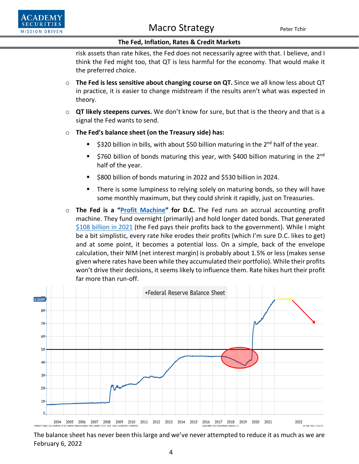

risk assets than rate hikes, the Fed does not necessarily agree with that. I believe, and I think the Fed might too, that QT is less harmful for the economy. That would make it the preferred choice.

- o **The Fed is less sensitive about changing course on QT.** Since we all know less about QT in practice, it is easier to change midstream if the results aren't what was expected in theory.
- o **QT likely steepens curves.** We don't know for sure, but that is the theory and that is a signal the Fed wants to send.
- o **The Fed's balance sheet (on the Treasury side) has:**
	- $\approx$ \$320 billion in bills, with about \$50 billion maturing in the 2<sup>nd</sup> half of the year.
	- $\blacksquare$  \$760 billion of bonds maturing this year, with \$400 billion maturing in the 2<sup>nd</sup> half of the year.
	- **5800 billion of bonds maturing in 2022 and \$530 billion in 2024.**
	- There is some lumpiness to relying solely on maturing bonds, so they will have some monthly maximum, but they could shrink it rapidly, just on Treasuries.
- o **The Fed is a ["Profit Machine"](https://www.academysecurities.com/wordpress/wp-content/uploads/2021/10/Central-Bank-Policy-Mistake-or-Fund-Positioning-Mistake.pdf) for D.C.** The Fed runs an accrual accounting profit machine. They fund overnight (primarily) and hold longer dated bonds. That generated [\\$108 billion in 2021](https://www.federalreserve.gov/newsevents/pressreleases/other20210111a.htm) (the Fed pays their profits back to the government). While I might be a bit simplistic, every rate hike erodes their profits (which I'm sure D.C. likes to get) and at some point, it becomes a potential loss. On a simple, back of the envelope calculation, their NIM (net interest margin) is probably about 1.5% or less (makes sense given where rates have been while they accumulated their portfolio). While their profits won't drive their decisions, it seems likely to influence them. Rate hikes hurt their profit far more than run-off.



February 6, 2022 The balance sheet has never been this large and we've never attempted to reduce it as much as we are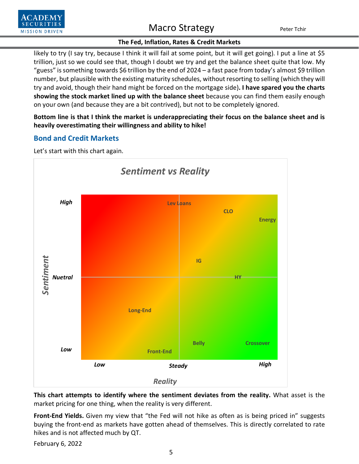

## **The Fed, Inflation, Rates & Credit Markets**

likely to try (I say try, because I think it will fail at some point, but it will get going). I put a line at \$5 trillion, just so we could see that, though I doubt we try and get the balance sheet quite that low. My "guess" is something towards \$6 trillion by the end of 2024 – a fast pace from today's almost \$9 trillion number, but plausible with the existing maturity schedules, without resorting to selling (which they will try and avoid, though their hand might be forced on the mortgage side)**. I have spared you the charts showing the stock market lined up with the balance sheet** because you can find them easily enough on your own (and because they are a bit contrived), but not to be completely ignored.

**Bottom line is that I think the market is underappreciating their focus on the balance sheet and is heavily overestimating their willingness and ability to hike!**

## **Bond and Credit Markets**



Let's start with this chart again.

**This chart attempts to identify where the sentiment deviates from the reality.** What asset is the market pricing for one thing, when the reality is very different.

**Front-End Yields.** Given my view that "the Fed will not hike as often as is being priced in" suggests buying the front-end as markets have gotten ahead of themselves. This is directly correlated to rate hikes and is not affected much by QT.

February 6, 2022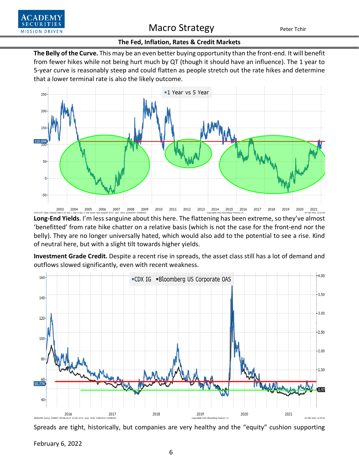

#### **The Fed, Inflation, Rates & Credit Markets**

**The Belly of the Curve.** This may be an even better buying opportunity than the front-end. It will benefit from fewer hikes while not being hurt much by QT (though it should have an influence). The 1 year to 5-year curve is reasonably steep and could flatten as people stretch out the rate hikes and determine that a lower terminal rate is also the likely outcome.



**Long-End Yields**. I'm less sanguine about this here. The flattening has been extreme, so they've almost 'benefitted' from rate hike chatter on a relative basis (which is not the case for the front-end nor the belly). They are no longer universally hated, which would also add to the potential to see a rise. Kind of neutral here, but with a slight tilt towards higher yields.

**Investment Grade Credit.** Despite a recent rise in spreads, the asset class still has a lot of demand and outflows slowed significantly, even with recent weakness.



Spreads are tight, historically, but companies are very healthy and the "equity" cushion supporting

February 6, 2022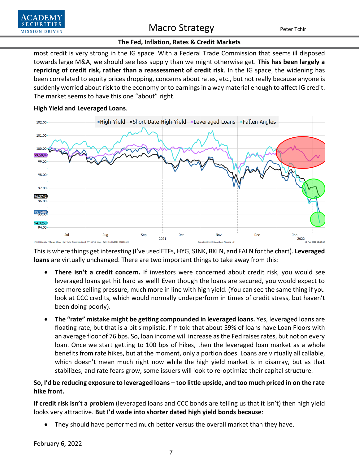

### **The Fed, Inflation, Rates & Credit Markets**

most credit is very strong in the IG space. With a Federal Trade Commission that seems ill disposed towards large M&A, we should see less supply than we might otherwise get. **This has been largely a repricing of credit risk, rather than a reassessment of credit risk**. In the IG space, the widening has been correlated to equity prices dropping, concerns about rates, etc., but not really because anyone is suddenly worried about risk to the economy or to earnings in a way material enough to affect IG credit. The market seems to have this one "about" right.



## **High Yield and Leveraged Loans**.

This is where things get interesting (I've used ETFs, HYG, SJNK, BKLN, and FALN for the chart). **Leveraged loans** are virtually unchanged. There are two important things to take away from this:

- **There isn't a credit concern.** If investors were concerned about credit risk, you would see leveraged loans get hit hard as well! Even though the loans are secured, you would expect to see more selling pressure, much more in line with high yield. (You can see the same thing if you look at CCC credits, which would normally underperform in times of credit stress, but haven't been doing poorly).
- **The "rate" mistake might be getting compounded in leveraged loans.** Yes, leveraged loans are floating rate, but that is a bit simplistic. I'm told that about 59% of loans have Loan Floors with an average floor of 76 bps. So, loan income will increase as the Fed raises rates, but not on every loan. Once we start getting to 100 bps of hikes, then the leveraged loan market as a whole benefits from rate hikes, but at the moment, only a portion does. Loans are virtually all callable, which doesn't mean much right now while the high yield market is in disarray, but as that stabilizes, and rate fears grow, some issuers will look to re-optimize their capital structure.

## **So, I'd be reducing exposure to leveraged loans – too little upside, and too much priced in on the rate hike front.**

**If credit risk isn't a problem** (leveraged loans and CCC bonds are telling us that it isn't) then high yield looks very attractive. **But I'd wade into shorter dated high yield bonds because**:

• They should have performed much better versus the overall market than they have.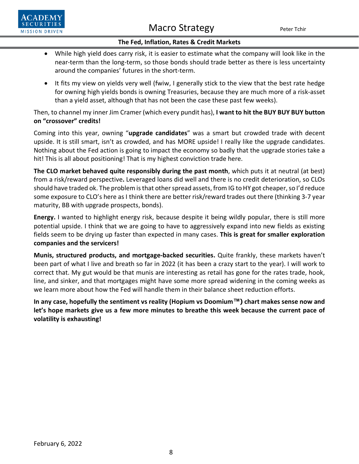

### **The Fed, Inflation, Rates & Credit Markets**

- While high yield does carry risk, it is easier to estimate what the company will look like in the near-term than the long-term, so those bonds should trade better as there is less uncertainty around the companies' futures in the short-term.
- It fits my view on yields very well (fwiw, I generally stick to the view that the best rate hedge for owning high yields bonds is owning Treasuries, because they are much more of a risk-asset than a yield asset, although that has not been the case these past few weeks).

Then, to channel my inner Jim Cramer (which every pundit has), **I want to hit the BUY BUY BUY button on "crossover" credits!** 

Coming into this year, owning "**upgrade candidates**" was a smart but crowded trade with decent upside. It is still smart, isn't as crowded, and has MORE upside! I really like the upgrade candidates. Nothing about the Fed action is going to impact the economy so badly that the upgrade stories take a hit! This is all about positioning! That is my highest conviction trade here.

**The CLO market behaved quite responsibly during the past month**, which puts it at neutral (at best) from a risk/reward perspective**.** Leveraged loans did well and there is no credit deterioration, so CLOs should have traded ok. The problem is that other spread assets, from IG to HY got cheaper, so I'd reduce some exposure to CLO's here as I think there are better risk/reward trades out there (thinking 3-7 year maturity, BB with upgrade prospects, bonds).

**Energy.** I wanted to highlight energy risk, because despite it being wildly popular, there is still more potential upside. I think that we are going to have to aggressively expand into new fields as existing fields seem to be drying up faster than expected in many cases. **This is great for smaller exploration companies and the servicers!**

**Munis, structured products, and mortgage-backed securities.** Quite frankly, these markets haven't been part of what I live and breath so far in 2022 (it has been a crazy start to the year). I will work to correct that. My gut would be that munis are interesting as retail has gone for the rates trade, hook, line, and sinker, and that mortgages might have some more spread widening in the coming weeks as we learn more about how the Fed will handle them in their balance sheet reduction efforts.

**In any case, hopefully the sentiment vs reality (Hopium vs Doomium™) chart makes sense now and let's hope markets give us a few more minutes to breathe this week because the current pace of volatility is exhausting!**